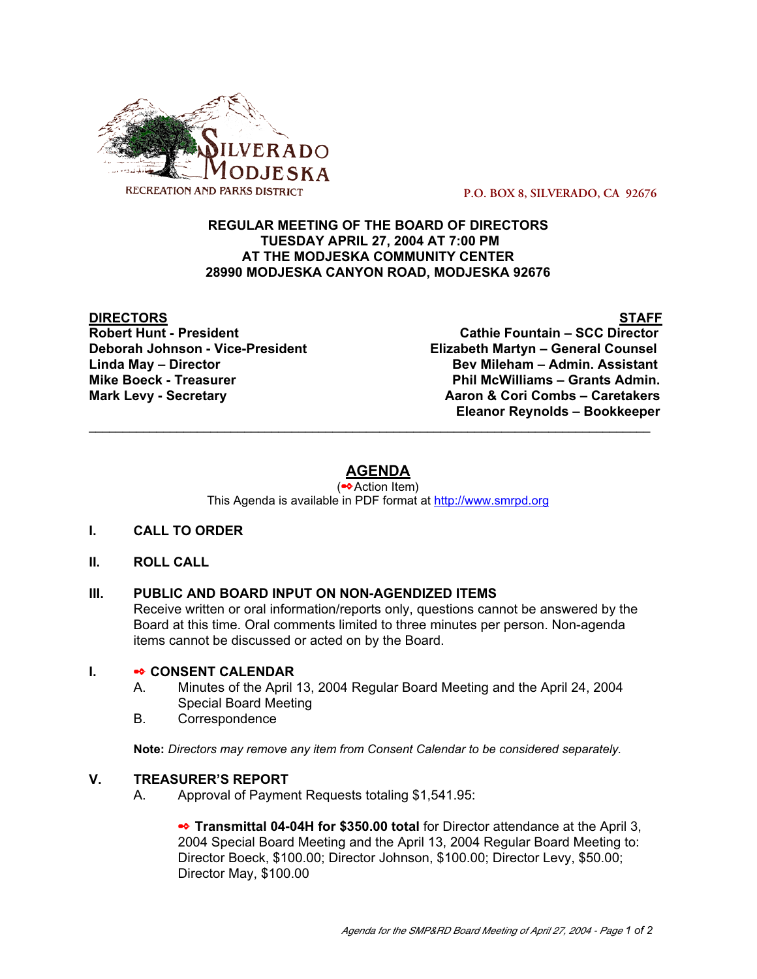

 **P.O. BOX 8, SILVERADO, CA 92676**

### **REGULAR MEETING OF THE BOARD OF DIRECTORS TUESDAY APRIL 27, 2004 AT 7:00 PM AT THE MODJESKA COMMUNITY CENTER 28990 MODJESKA CANYON ROAD, MODJESKA 92676**

# **DIRECTORS STAFF**

**Cathie Fountain – SCC Director Deborah Johnson - Vice-President Elizabeth Martyn – General Counsel Linda May – Director Bev Mileham – Admin. Assistant Mike Boeck - Treasurer Phil McWilliams – Grants Admin. Mark Levy - Secretary Combs – Caretakers** Aaron & Cori Combs – Caretakers  **Eleanor Reynolds – Bookkeeper**

# **AGENDA**

\_\_\_\_\_\_\_\_\_\_\_\_\_\_\_\_\_\_\_\_\_\_\_\_\_\_\_\_\_\_\_\_\_\_\_\_\_\_\_\_\_\_\_\_\_\_\_\_\_\_\_\_\_\_\_\_\_\_\_\_\_\_\_\_\_\_\_\_\_\_\_\_\_\_\_\_\_\_\_\_\_\_\_

(✒Action Item) This Agenda is available in PDF format at http://www.smrpd.org

- **I. CALL TO ORDER**
- **II. ROLL CALL**

# **III. PUBLIC AND BOARD INPUT ON NON-AGENDIZED ITEMS**

Receive written or oral information/reports only, questions cannot be answered by the Board at this time. Oral comments limited to three minutes per person. Non-agenda items cannot be discussed or acted on by the Board.

#### **I.** ✒ **CONSENT CALENDAR**

- A. Minutes of the April 13, 2004 Regular Board Meeting and the April 24, 2004 Special Board Meeting
- B. Correspondence

**Note:** *Directors may remove any item from Consent Calendar to be considered separately.*

#### **V. TREASURER'S REPORT**

A. Approval of Payment Requests totaling \$1,541.95:

**■ Transmittal 04-04H for \$350.00 total** for Director attendance at the April 3, 2004 Special Board Meeting and the April 13, 2004 Regular Board Meeting to: Director Boeck, \$100.00; Director Johnson, \$100.00; Director Levy, \$50.00; Director May, \$100.00